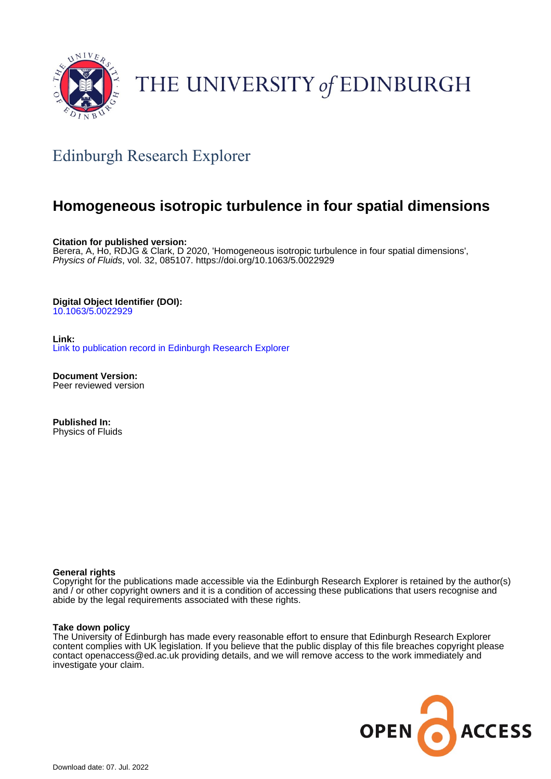

# THE UNIVERSITY of EDINBURGH

# Edinburgh Research Explorer

# **Homogeneous isotropic turbulence in four spatial dimensions**

**Citation for published version:**

Berera, A, Ho, RDJG & Clark, D 2020, 'Homogeneous isotropic turbulence in four spatial dimensions', Physics of Fluids, vol. 32, 085107. <https://doi.org/10.1063/5.0022929>

# **Digital Object Identifier (DOI):**

[10.1063/5.0022929](https://doi.org/10.1063/5.0022929)

**Link:** [Link to publication record in Edinburgh Research Explorer](https://www.research.ed.ac.uk/en/publications/e2142270-5bfd-4fe1-831f-47136af9380b)

**Document Version:** Peer reviewed version

**Published In:** Physics of Fluids

# **General rights**

Copyright for the publications made accessible via the Edinburgh Research Explorer is retained by the author(s) and / or other copyright owners and it is a condition of accessing these publications that users recognise and abide by the legal requirements associated with these rights.

# **Take down policy**

The University of Edinburgh has made every reasonable effort to ensure that Edinburgh Research Explorer content complies with UK legislation. If you believe that the public display of this file breaches copyright please contact openaccess@ed.ac.uk providing details, and we will remove access to the work immediately and investigate your claim.

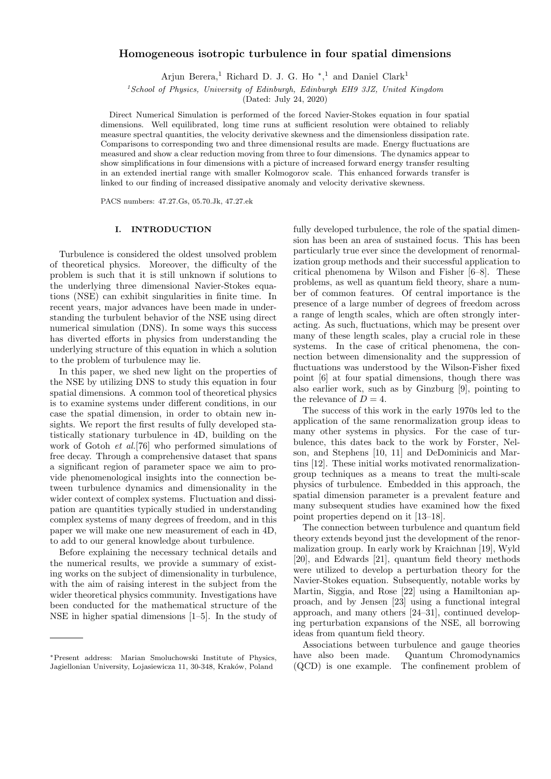### Homogeneous isotropic turbulence in four spatial dimensions

Arjun Berera,<sup>1</sup> Richard D. J. G. Ho<sup>\*</sup>,<sup>1</sup> and Daniel Clark<sup>1</sup>

 $1$ School of Physics, University of Edinburgh, Edinburgh EH9 3JZ, United Kingdom

(Dated: July 24, 2020)

Direct Numerical Simulation is performed of the forced Navier-Stokes equation in four spatial dimensions. Well equilibrated, long time runs at sufficient resolution were obtained to reliably measure spectral quantities, the velocity derivative skewness and the dimensionless dissipation rate. Comparisons to corresponding two and three dimensional results are made. Energy fluctuations are measured and show a clear reduction moving from three to four dimensions. The dynamics appear to show simplifications in four dimensions with a picture of increased forward energy transfer resulting in an extended inertial range with smaller Kolmogorov scale. This enhanced forwards transfer is linked to our finding of increased dissipative anomaly and velocity derivative skewness.

PACS numbers: 47.27.Gs, 05.70.Jk, 47.27.ek

### I. INTRODUCTION

Turbulence is considered the oldest unsolved problem of theoretical physics. Moreover, the difficulty of the problem is such that it is still unknown if solutions to the underlying three dimensional Navier-Stokes equations (NSE) can exhibit singularities in finite time. In recent years, major advances have been made in understanding the turbulent behavior of the NSE using direct numerical simulation (DNS). In some ways this success has diverted efforts in physics from understanding the underlying structure of this equation in which a solution to the problem of turbulence may lie.

In this paper, we shed new light on the properties of the NSE by utilizing DNS to study this equation in four spatial dimensions. A common tool of theoretical physics is to examine systems under different conditions, in our case the spatial dimension, in order to obtain new insights. We report the first results of fully developed statistically stationary turbulence in 4D, building on the work of Gotoh et al.[76] who performed simulations of free decay. Through a comprehensive dataset that spans a significant region of parameter space we aim to provide phenomenological insights into the connection between turbulence dynamics and dimensionality in the wider context of complex systems. Fluctuation and dissipation are quantities typically studied in understanding complex systems of many degrees of freedom, and in this paper we will make one new measurement of each in 4D, to add to our general knowledge about turbulence.

Before explaining the necessary technical details and the numerical results, we provide a summary of existing works on the subject of dimensionality in turbulence, with the aim of raising interest in the subject from the wider theoretical physics community. Investigations have been conducted for the mathematical structure of the NSE in higher spatial dimensions [1–5]. In the study of

fully developed turbulence, the role of the spatial dimension has been an area of sustained focus. This has been particularly true ever since the development of renormalization group methods and their successful application to critical phenomena by Wilson and Fisher [6–8]. These problems, as well as quantum field theory, share a number of common features. Of central importance is the presence of a large number of degrees of freedom across a range of length scales, which are often strongly interacting. As such, fluctuations, which may be present over many of these length scales, play a crucial role in these systems. In the case of critical phenomena, the connection between dimensionality and the suppression of fluctuations was understood by the Wilson-Fisher fixed point [6] at four spatial dimensions, though there was also earlier work, such as by Ginzburg [9], pointing to the relevance of  $D=4$ .

The success of this work in the early 1970s led to the application of the same renormalization group ideas to many other systems in physics. For the case of turbulence, this dates back to the work by Forster, Nelson, and Stephens [10, 11] and DeDominicis and Martins [12]. These initial works motivated renormalizationgroup techniques as a means to treat the multi-scale physics of turbulence. Embedded in this approach, the spatial dimension parameter is a prevalent feature and many subsequent studies have examined how the fixed point properties depend on it [13–18].

The connection between turbulence and quantum field theory extends beyond just the development of the renormalization group. In early work by Kraichnan [19], Wyld [20], and Edwards [21], quantum field theory methods were utilized to develop a perturbation theory for the Navier-Stokes equation. Subsequently, notable works by Martin, Siggia, and Rose [22] using a Hamiltonian approach, and by Jensen [23] using a functional integral approach, and many others [24–31], continued developing perturbation expansions of the NSE, all borrowing ideas from quantum field theory.

Associations between turbulence and gauge theories have also been made. Quantum Chromodynamics (QCD) is one example. The confinement problem of

<sup>∗</sup>Present address: Marian Smoluchowski Institute of Physics, Jagiellonian University, Lojasiewicza 11, 30-348, Kraków, Poland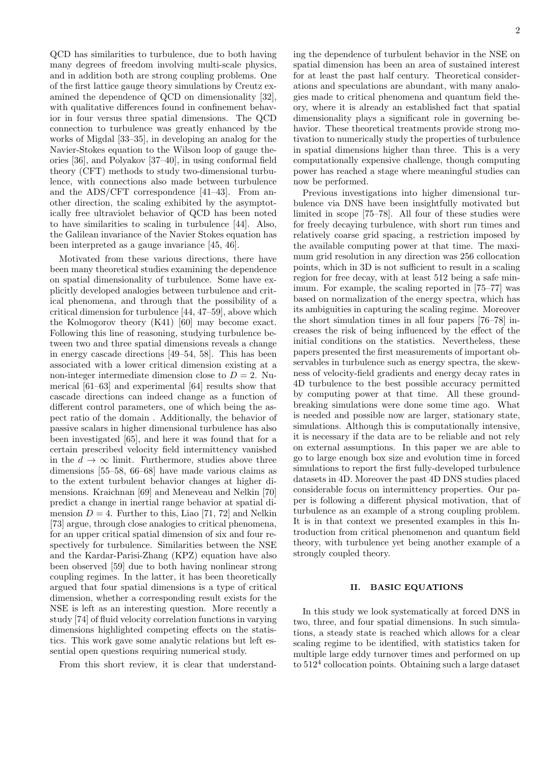QCD has similarities to turbulence, due to both having many degrees of freedom involving multi-scale physics, and in addition both are strong coupling problems. One of the first lattice gauge theory simulations by Creutz examined the dependence of QCD on dimensionality [32], with qualitative differences found in confinement behavior in four versus three spatial dimensions. The QCD connection to turbulence was greatly enhanced by the works of Migdal [33–35], in developing an analog for the Navier-Stokes equation to the Wilson loop of gauge theories [36], and Polyakov [37–40], in using conformal field theory (CFT) methods to study two-dimensional turbulence, with connections also made between turbulence and the ADS/CFT correspondence [41–43]. From another direction, the scaling exhibited by the asymptotically free ultraviolet behavior of QCD has been noted to have similarities to scaling in turbulence [44]. Also, the Galilean invariance of the Navier Stokes equation has been interpreted as a gauge invariance [45, 46].

Motivated from these various directions, there have been many theoretical studies examining the dependence on spatial dimensionality of turbulence. Some have explicitly developed analogies between turbulence and critical phenomena, and through that the possibility of a critical dimension for turbulence [44, 47–59], above which the Kolmogorov theory (K41) [60] may become exact. Following this line of reasoning, studying turbulence between two and three spatial dimensions reveals a change in energy cascade directions [49–54, 58]. This has been associated with a lower critical dimension existing at a non-integer intermediate dimension close to  $D = 2$ . Numerical [61–63] and experimental [64] results show that cascade directions can indeed change as a function of different control parameters, one of which being the aspect ratio of the domain . Additionally, the behavior of passive scalars in higher dimensional turbulence has also been investigated [65], and here it was found that for a certain prescribed velocity field intermittency vanished in the  $d \to \infty$  limit. Furthermore, studies above three dimensions [55–58, 66–68] have made various claims as to the extent turbulent behavior changes at higher dimensions. Kraichnan [69] and Meneveau and Nelkin [70] predict a change in inertial range behavior at spatial dimension  $D = 4$ . Further to this, Liao [71, 72] and Nelkin [73] argue, through close analogies to critical phenomena, for an upper critical spatial dimension of six and four respectively for turbulence. Similarities between the NSE and the Kardar-Parisi-Zhang (KPZ) equation have also been observed [59] due to both having nonlinear strong coupling regimes. In the latter, it has been theoretically argued that four spatial dimensions is a type of critical dimension, whether a corresponding result exists for the NSE is left as an interesting question. More recently a study [74] of fluid velocity correlation functions in varying dimensions highlighted competing effects on the statistics. This work gave some analytic relations but left essential open questions requiring numerical study.

From this short review, it is clear that understand-

ing the dependence of turbulent behavior in the NSE on spatial dimension has been an area of sustained interest for at least the past half century. Theoretical considerations and speculations are abundant, with many analogies made to critical phenomena and quantum field theory, where it is already an established fact that spatial dimensionality plays a significant role in governing behavior. These theoretical treatments provide strong motivation to numerically study the properties of turbulence in spatial dimensions higher than three. This is a very computationally expensive challenge, though computing power has reached a stage where meaningful studies can now be performed.

Previous investigations into higher dimensional turbulence via DNS have been insightfully motivated but limited in scope [75–78]. All four of these studies were for freely decaying turbulence, with short run times and relatively coarse grid spacing, a restriction imposed by the available computing power at that time. The maximum grid resolution in any direction was 256 collocation points, which in 3D is not sufficient to result in a scaling region for free decay, with at least 512 being a safe minimum. For example, the scaling reported in [75–77] was based on normalization of the energy spectra, which has its ambiguities in capturing the scaling regime. Moreover the short simulation times in all four papers [76–78] increases the risk of being influenced by the effect of the initial conditions on the statistics. Nevertheless, these papers presented the first measurements of important observables in turbulence such as energy spectra, the skewness of velocity-field gradients and energy decay rates in 4D turbulence to the best possible accuracy permitted by computing power at that time. All these groundbreaking simulations were done some time ago. What is needed and possible now are larger, stationary state, simulations. Although this is computationally intensive, it is necessary if the data are to be reliable and not rely on external assumptions. In this paper we are able to go to large enough box size and evolution time in forced simulations to report the first fully-developed turbulence datasets in 4D. Moreover the past 4D DNS studies placed considerable focus on intermittency properties. Our paper is following a different physical motivation, that of turbulence as an example of a strong coupling problem. It is in that context we presented examples in this Introduction from critical phenomenon and quantum field theory, with turbulence yet being another example of a strongly coupled theory.

#### II. BASIC EQUATIONS

In this study we look systematically at forced DNS in two, three, and four spatial dimensions. In such simulations, a steady state is reached which allows for a clear scaling regime to be identified, with statistics taken for multiple large eddy turnover times and performed on up to 512<sup>4</sup> collocation points. Obtaining such a large dataset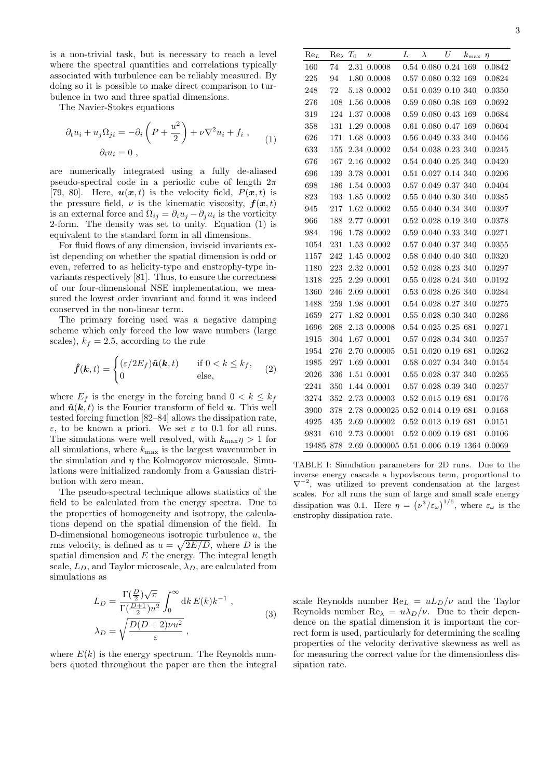is a non-trivial task, but is necessary to reach a level where the spectral quantities and correlations typically associated with turbulence can be reliably measured. By doing so it is possible to make direct comparison to turbulence in two and three spatial dimensions.

The Navier-Stokes equations

$$
\partial_t u_i + u_j \Omega_{ji} = -\partial_i \left( P + \frac{u^2}{2} \right) + \nu \nabla^2 u_i + f_i ,
$$
  
\n
$$
\partial_i u_i = 0 ,
$$
 (1)

are numerically integrated using a fully de-aliased pseudo-spectral code in a periodic cube of length  $2\pi$ [79, 80]. Here,  $u(x, t)$  is the velocity field,  $P(x, t)$  is the pressure field,  $\nu$  is the kinematic viscosity,  $f(x, t)$ is an external force and  $\Omega_{ij} = \partial_i u_j - \partial_j u_i$  is the vorticity 2-form. The density was set to unity. Equation (1) is equivalent to the standard form in all dimensions.

For fluid flows of any dimension, inviscid invariants exist depending on whether the spatial dimension is odd or even, referred to as helicity-type and enstrophy-type invariants respectively [81]. Thus, to ensure the correctness of our four-dimensional NSE implementation, we measured the lowest order invariant and found it was indeed conserved in the non-linear term.

The primary forcing used was a negative damping scheme which only forced the low wave numbers (large scales),  $k_f = 2.5$ , according to the rule

$$
\hat{\boldsymbol{f}}(\boldsymbol{k},t) = \begin{cases} (\varepsilon/2E_f)\hat{\boldsymbol{u}}(\boldsymbol{k},t) & \text{if } 0 < k \le k_f, \\ 0 & \text{else,} \end{cases} \tag{2}
$$

where  $E_f$  is the energy in the forcing band  $0 < k \leq k_f$ and  $\hat{u}(k, t)$  is the Fourier transform of field u. This well tested forcing function [82–84] allows the dissipation rate, ε, to be known a priori. We set ε to 0.1 for all runs. The simulations were well resolved, with  $k_{\text{max}}\eta > 1$  for all simulations, where  $k_{\text{max}}$  is the largest wavenumber in the simulation and  $\eta$  the Kolmogorov microscale. Simulations were initialized randomly from a Gaussian distribution with zero mean.

The pseudo-spectral technique allows statistics of the field to be calculated from the energy spectra. Due to the properties of homogeneity and isotropy, the calculations depend on the spatial dimension of the field. In D-dimensional homogeneous isotropic turbulence  $u$ , the rms velocity, is defined as  $u = \sqrt{2E/D}$ , where D is the spatial dimension and  $E$  the energy. The integral length scale,  $L_D$ , and Taylor microscale,  $\lambda_D$ , are calculated from simulations as

$$
L_D = \frac{\Gamma(\frac{D}{2})\sqrt{\pi}}{\Gamma(\frac{D+1}{2})u^2} \int_0^\infty dk E(k)k^{-1} ,
$$
  

$$
\lambda_D = \sqrt{\frac{D(D+2)vu^2}{\varepsilon}} ,
$$
 (3)

where  $E(k)$  is the energy spectrum. The Reynolds numbers quoted throughout the paper are then the integral

| Re <sub>L</sub> | $Re_{\lambda}$ | $T_{\rm 0}$ | $\boldsymbol{\nu}$                        | L | $\lambda$                   | U | $k_{\rm max}$ $\eta$ |        |
|-----------------|----------------|-------------|-------------------------------------------|---|-----------------------------|---|----------------------|--------|
| 160             | 74             |             | 2.31 0.0008                               |   | 0.54 0.080 0.24 169         |   |                      | 0.0842 |
| 225             | 94             |             | 1.80 0.0008                               |   | 0.57 0.080 0.32 169         |   |                      | 0.0824 |
| 248             | 72             |             | 5.18 0.0002                               |   | 0.51 0.039 0.10 340         |   |                      | 0.0350 |
| 276             | 108            |             | 1.56 0.0008                               |   | $0.59$ $0.080$ $0.38$ 169   |   |                      | 0.0692 |
| 319             | 124            |             | 1.37 0.0008                               |   | 0.59 0.080 0.43 169         |   |                      | 0.0684 |
| 358             | 131            |             | 1.29 0.0008                               |   | 0.61 0.080 0.47 169         |   |                      | 0.0604 |
| 626             | 171            |             | 1.68 0.0003                               |   | $0.56$ $0.049$ $0.33$ $340$ |   |                      | 0.0456 |
| 633             | 155            |             | 2.34 0.0002                               |   | $0.54\ 0.038\ 0.23\ 340$    |   |                      | 0.0245 |
| 676             | 167            |             | 2.16 0.0002                               |   | $0.54\ 0.040\ 0.25\ 340$    |   |                      | 0.0420 |
| 696             | 139            |             | 3.78 0.0001                               |   | $0.51$ $0.027$ $0.14$ $340$ |   |                      | 0.0206 |
| 698             | 186            |             | $1.54\,$ $0.0003$                         |   | 0.57 0.049 0.37 340         |   |                      | 0.0404 |
| 823             | 193            |             | 1.85 0.0002                               |   | $0.55\ 0.040\ 0.30\ 340$    |   |                      | 0.0385 |
| 945             | 217            |             | 1.62 0.0002                               |   | 0.55 0.040 0.34 340         |   |                      | 0.0397 |
| 966             | 188            |             | 2.77 0.0001                               |   | 0.52 0.028 0.19 340         |   |                      | 0.0378 |
| 984             | 196            |             | 1.78 0.0002                               |   | $0.59$ $0.040$ $0.33$ $340$ |   |                      | 0.0271 |
| 1054            | $231\,$        |             | 1.53 0.0002                               |   | 0.57 0.040 0.37 340         |   |                      | 0.0355 |
| 1157            | 242            |             | 1.45 0.0002                               |   | 0.58 0.040 0.40 340         |   |                      | 0.0320 |
| 1180            | 223            |             | 2.32 0.0001                               |   | 0.52 0.028 0.23 340         |   |                      | 0.0297 |
| 1318            | 225            |             | 2.29 0.0001                               |   | 0.55 0.028 0.24 340         |   |                      | 0.0192 |
| 1360            | 246            |             | 2.09 0.0001                               |   | 0.53 0.028 0.26 340         |   |                      | 0.0284 |
| 1488            | 259            |             | 1.98 0.0001                               |   | 0.54 0.028 0.27 340         |   |                      | 0.0275 |
| 1659            | 277            |             | 1.82 0.0001                               |   | 0.55 0.028 0.30 340         |   |                      | 0.0286 |
| 1696            | 268            |             | 2.13 0.00008                              |   | $0.54$ $0.025$ $0.25$ 681   |   |                      | 0.0271 |
| 1915            | 304            |             | 1.67 0.0001                               |   | $0.57\ 0.028\ 0.34\ 340$    |   |                      | 0.0257 |
| 1954            | 276            |             | 2.70 0.00005                              |   | 0.51 0.020 0.19 681         |   |                      | 0.0262 |
| 1985            | $\,297$        |             | 1.69 0.0001                               |   | $0.58\ 0.027\ 0.34\ 340$    |   |                      | 0.0154 |
| 2026            | 336            |             | 1.51 0.0001                               |   | $0.55\ 0.028\ 0.37\ 340$    |   |                      | 0.0265 |
| 2241            | 350            |             | 1.44 0.0001                               |   | 0.57 0.028 0.39 340         |   |                      | 0.0257 |
| 3274            | 352            |             | 2.73 0.00003                              |   | $0.52$ $0.015$ $0.19$ 681   |   |                      | 0.0176 |
| 3900            | 378            |             | 2.78 0.000025 0.52 0.014 0.19 681         |   |                             |   |                      | 0.0168 |
| 4925            | 435            |             | 2.69 0.00002                              |   | $0.52$ $0.013$ $0.19$ 681   |   |                      | 0.0151 |
| $\bf 9831$      | 610            |             | 2.73 0.00001                              |   | $0.52\ 0.009\ 0.19\ 681$    |   |                      | 0.0106 |
| 19485 878       |                |             | 2.69 0.000005 0.51 0.006 0.19 1364 0.0069 |   |                             |   |                      |        |

TABLE I: Simulation parameters for 2D runs. Due to the inverse energy cascade a hypoviscous term, proportional to  $\nabla^{-2}$ , was utilized to prevent condensation at the largest scales. For all runs the sum of large and small scale energy dissipation was 0.1. Here  $\eta = (\nu^3/\varepsilon_\omega)^{1/6}$ , where  $\varepsilon_\omega$  is the enstrophy dissipation rate.

scale Reynolds number  $\text{Re}_L = uL_D/\nu$  and the Taylor Reynolds number  $\text{Re}\lambda = u\lambda_D/\nu$ . Due to their dependence on the spatial dimension it is important the correct form is used, particularly for determining the scaling properties of the velocity derivative skewness as well as for measuring the correct value for the dimensionless dissipation rate.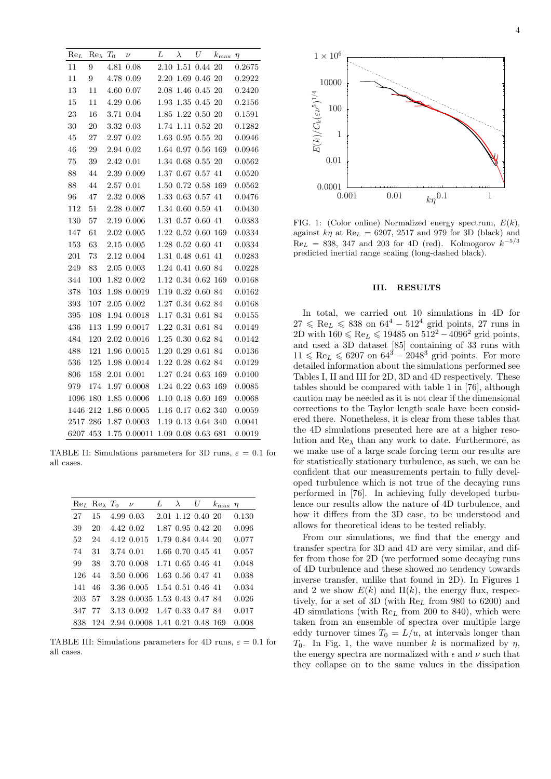| $Re_L$   | $Re_{\lambda}$ | $T_0$ | $\boldsymbol{\nu}$              | L    | $\lambda$ | U                    | $k_{\rm max}$ $\eta$ |        |
|----------|----------------|-------|---------------------------------|------|-----------|----------------------|----------------------|--------|
| 11       | 9              |       | 4.81 0.08                       | 2.10 |           | 1.51 0.44 20         |                      | 0.2675 |
| 11       | 9              |       | 4.78 0.09                       |      |           | 2.20 1.69 0.46 20    |                      | 0.2922 |
| 13       | 11             |       | 4.60 0.07                       |      |           | 2.08 1.46 0.45 20    |                      | 0.2420 |
| 15       | 11             |       | 4.29 0.06                       |      |           | 1.93 1.35 0.45 20    |                      | 0.2156 |
| 23       | 16             |       | 3.71 0.04                       |      |           | 1.85 1.22 0.50 20    |                      | 0.1591 |
| 30       | $20\,$         |       | 3.32 0.03                       |      |           | 1.74 1.11 0.52 20    |                      | 0.1282 |
| 45       | 27             |       | 2.97 0.02                       |      |           | 1.63 0.95 0.55 20    |                      | 0.0946 |
| 46       | 29             |       | 2.94 0.02                       |      |           | 1.64 0.97 0.56 169   |                      | 0.0946 |
| 75       | 39             |       | 2.42 0.01                       |      |           | 1.34 0.68 0.55 20    |                      | 0.0562 |
| 88       | 44             |       | $2.39\ 0.009$                   |      |           | 1.37 0.67 0.57 41    |                      | 0.0520 |
| 88       | 44             |       | 2.57 0.01                       |      |           | 1.50 0.72 0.58 169   |                      | 0.0562 |
| 96       | 47             |       | 2.32 0.008                      |      |           | 1.33 0.63 0.57 41    |                      | 0.0476 |
| 112      | 51             |       | 2.28 0.007                      |      |           | 1.34 0.60 0.59 41    |                      | 0.0430 |
| 130      | 57             |       | 2.19 0.006                      |      |           | 1.31 0.57 0.60 41    |                      | 0.0383 |
| 147      | 61             |       | $2.02\;\,0.005$                 |      |           | $1.22$ 0.52 0.60 169 |                      | 0.0334 |
| 153      | 63             |       | 2.15 0.005                      |      |           | 1.28 0.52 0.60 41    |                      | 0.0334 |
| 201      | 73             |       | 2.12 0.004                      |      |           | 1.31 0.48 0.61 41    |                      | 0.0283 |
| 249      | 83             |       | 2.05 0.003                      |      |           | 1.24 0.41 0.60 84    |                      | 0.0228 |
| 344      | 100            |       | 1.82 0.002                      |      |           | 1.12 0.34 0.62 169   |                      | 0.0168 |
| 378      | 103            |       | 1.98 0.0019                     |      |           | 1.19 0.32 0.60 84    |                      | 0.0162 |
| 393      | 107            |       | 2.05 0.002                      |      |           | 1.27 0.34 0.62 84    |                      | 0.0168 |
| 395      | 108            |       | 1.94 0.0018                     |      |           | $1.17$ 0.31 0.61 84  |                      | 0.0155 |
| 436      | 113            |       | 1.99 0.0017                     |      |           | 1.22 0.31 0.61 84    |                      | 0.0149 |
| 484      | 120            |       | 2.02 0.0016                     |      |           | 1.25 0.30 0.62 84    |                      | 0.0142 |
| 488      | 121            |       | 1.96 0.0015                     |      |           | 1.20 0.29 0.61 84    |                      | 0.0136 |
| 536      | 125            |       | 1.98 0.0014                     |      |           | 1.22 0.28 0.62 84    |                      | 0.0129 |
| 806      | 158            |       | 2.01 0.001                      |      |           | 1.27 0.24 0.63 169   |                      | 0.0100 |
| 979      | 174            |       | 1.97 0.0008                     |      |           | 1.24 0.22 0.63 169   |                      | 0.0085 |
| 1096     | 180            |       | 1.85 0.0006                     |      |           | 1.10 0.18 0.60 169   |                      | 0.0068 |
|          | 1446 212       |       | 1.86 0.0005                     |      |           | 1.16 0.17 0.62 340   |                      | 0.0059 |
| 2517 286 |                |       | 1.87 0.0003                     |      |           | 1.19 0.13 0.64 340   |                      | 0.0041 |
| 6207 453 |                |       | 1.75 0.00011 1.09 0.08 0.63 681 |      |           |                      |                      | 0.0019 |

TABLE II: Simulations parameters for 3D runs,  $\varepsilon = 0.1$  for all cases.

|     |    | $\text{Re}_L$ $\text{Re}_\lambda$ $T_0$ $\nu$ |                                    | L | $\lambda$ | U                 | $k_{\rm max}$ $\eta$ |       |
|-----|----|-----------------------------------------------|------------------------------------|---|-----------|-------------------|----------------------|-------|
| 27  | 15 | 4.99 0.03                                     |                                    |   |           | 2.01 1.12 0.40 20 |                      | 0.130 |
| 39  | 20 | 4.42 0.02                                     |                                    |   |           | 1.87 0.95 0.42 20 |                      | 0.096 |
| 52  | 24 |                                               | 4.12 0.015                         |   |           | 1.79 0.84 0.44 20 |                      | 0.077 |
| 74  | 31 | 3.74 0.01                                     |                                    |   |           | 1.66 0.70 0.45 41 |                      | 0.057 |
| 99  | 38 |                                               | 3.70 0.008                         |   |           | 1.71 0.65 0.46 41 |                      | 0.048 |
| 126 | 44 |                                               | 3.50 0.006                         |   |           | 1.63 0.56 0.47 41 |                      | 0.038 |
| 141 | 46 |                                               | 3.36 0.005                         |   |           | 1.54 0.51 0.46 41 |                      | 0.034 |
| 203 | 57 |                                               | 3.28 0.0035 1.53 0.43 0.47 84      |   |           |                   |                      | 0.026 |
| 347 | 77 |                                               | 3.13 0.002 1.47 0.33 0.47 84       |   |           |                   |                      | 0.017 |
| 838 |    |                                               | 124 2.94 0.0008 1.41 0.21 0.48 169 |   |           |                   |                      | 0.008 |

TABLE III: Simulations parameters for 4D runs,  $\varepsilon = 0.1$  for all cases.



FIG. 1: (Color online) Normalized energy spectrum,  $E(k)$ , against  $k\eta$  at  $\text{Re}_L = 6207, 2517$  and 979 for 3D (black) and  $Re_L = 838, 347 \text{ and } 203 \text{ for } 4D \text{ (red)}.$  Kolmogorov  $k^{-5/3}$ predicted inertial range scaling (long-dashed black).

#### III. RESULTS

In total, we carried out 10 simulations in 4D for  $27 \leq \text{Re}_L \leq 838$  on  $64^4 - 512^4$  grid points, 27 runs in 2D with  $160 \leq \text{Re}_L \leq 19485$  on  $512^2 - 4096^2$  grid points, and used a 3D dataset [85] containing of 33 runs with  $11 \leqslant \text{Re}_L \leqslant 6207$  on  $64^3 - 2048^3$  grid points. For more detailed information about the simulations performed see Tables I, II and III for 2D, 3D and 4D respectively. These tables should be compared with table 1 in [76], although caution may be needed as it is not clear if the dimensional corrections to the Taylor length scale have been considered there. Nonetheless, it is clear from these tables that the 4D simulations presented here are at a higher resolution and  $\text{Re}_{\lambda}$  than any work to date. Furthermore, as we make use of a large scale forcing term our results are for statistically stationary turbulence, as such, we can be confident that our measurements pertain to fully developed turbulence which is not true of the decaying runs performed in [76]. In achieving fully developed turbulence our results allow the nature of 4D turbulence, and how it differs from the 3D case, to be understood and allows for theoretical ideas to be tested reliably.

From our simulations, we find that the energy and transfer spectra for 3D and 4D are very similar, and differ from those for 2D (we performed some decaying runs of 4D turbulence and these showed no tendency towards inverse transfer, unlike that found in 2D). In Figures 1 and 2 we show  $E(k)$  and  $\Pi(k)$ , the energy flux, respectively, for a set of 3D (with  $Re<sub>L</sub>$  from 980 to 6200) and  $4D$  simulations (with  $Re<sub>L</sub>$  from 200 to 840), which were taken from an ensemble of spectra over multiple large eddy turnover times  $T_0 = L/u$ , at intervals longer than  $T_0$ . In Fig. 1, the wave number k is normalized by  $\eta$ , the energy spectra are normalized with  $\epsilon$  and  $\nu$  such that they collapse on to the same values in the dissipation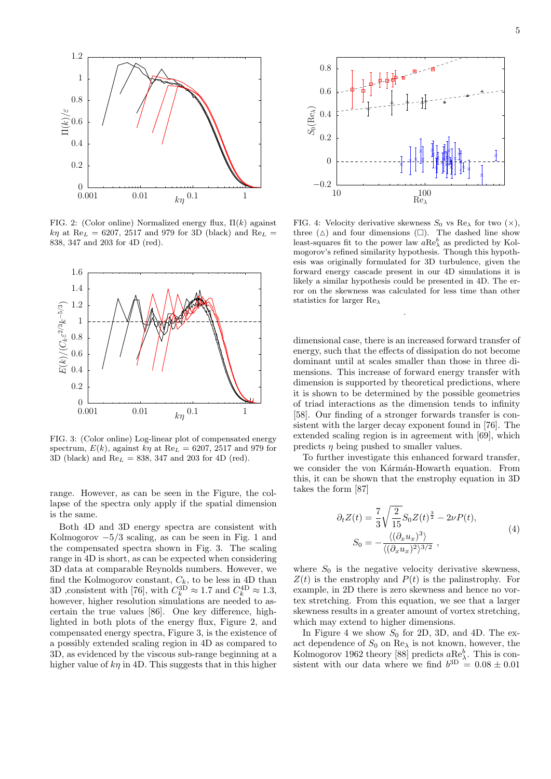

FIG. 2: (Color online) Normalized energy flux,  $\Pi(k)$  against  $k\eta$  at Re<sub>L</sub> = 6207, 2517 and 979 for 3D (black) and Re<sub>L</sub> = 838, 347 and 203 for 4D (red).



FIG. 3: (Color online) Log-linear plot of compensated energy spectrum,  $E(k)$ , against  $k\eta$  at Re<sub>L</sub> = 6207, 2517 and 979 for 3D (black) and  $\text{Re}_L = 838, 347$  and 203 for 4D (red).

range. However, as can be seen in the Figure, the collapse of the spectra only apply if the spatial dimension is the same.

Both 4D and 3D energy spectra are consistent with Kolmogorov  $-5/3$  scaling, as can be seen in Fig. 1 and the compensated spectra shown in Fig. 3. The scaling range in 4D is short, as can be expected when considering 3D data at comparable Reynolds numbers. However, we find the Kolmogorov constant,  $C_k$ , to be less in 4D than 3D , consistent with [76], with  $C_k^{\text{3D}} \approx 1.7$  and  $C_k^{\text{4D}} \approx 1.3$ , however, higher resolution simulations are needed to ascertain the true values [86]. One key difference, highlighted in both plots of the energy flux, Figure 2, and compensated energy spectra, Figure 3, is the existence of a possibly extended scaling region in 4D as compared to 3D, as evidenced by the viscous sub-range beginning at a higher value of  $kn$  in 4D. This suggests that in this higher



FIG. 4: Velocity derivative skewness  $S_0$  vs Re<sub> $\lambda$ </sub> for two  $(\times)$ , three  $(\triangle)$  and four dimensions  $(\square)$ . The dashed line show least-squares fit to the power law  $a\text{Re}^b_\lambda$  as predicted by Kolmogorov's refined similarity hypothesis. Though this hypothesis was originally formulated for 3D turbulence, given the forward energy cascade present in our 4D simulations it is likely a similar hypothesis could be presented in 4D. The error on the skewness was calculated for less time than other statistics for larger Re<sup>λ</sup>

.

dimensional case, there is an increased forward transfer of energy, such that the effects of dissipation do not become dominant until at scales smaller than those in three dimensions. This increase of forward energy transfer with dimension is supported by theoretical predictions, where it is shown to be determined by the possible geometries of triad interactions as the dimension tends to infinity [58]. Our finding of a stronger forwards transfer is consistent with the larger decay exponent found in [76]. The extended scaling region is in agreement with [69], which predicts  $\eta$  being pushed to smaller values.

To further investigate this enhanced forward transfer, we consider the von Kármán-Howarth equation. From this, it can be shown that the enstrophy equation in 3D takes the form [87]

$$
\partial_t Z(t) = \frac{7}{3} \sqrt{\frac{2}{15}} S_0 Z(t)^{\frac{3}{2}} - 2\nu P(t),
$$
  
\n
$$
S_0 = -\frac{\langle (\partial_x u_x)^3 \rangle}{\langle (\partial_x u_x)^2 \rangle^{3/2}},
$$
\n(4)

where  $S_0$  is the negative velocity derivative skewness,  $Z(t)$  is the enstrophy and  $P(t)$  is the palinstrophy. For example, in 2D there is zero skewness and hence no vortex stretching. From this equation, we see that a larger skewness results in a greater amount of vortex stretching, which may extend to higher dimensions.

In Figure 4 we show  $S_0$  for 2D, 3D, and 4D. The exact dependence of  $S_0$  on  $\text{Re}\lambda$  is not known, however, the Kolmogorov 1962 theory [88] predicts  $a_{\text{R}}^{\text{Be}}a_{\lambda}^{\text{Be}}$ . This is consistent with our data where we find  $b^{3D} = 0.08 \pm 0.01$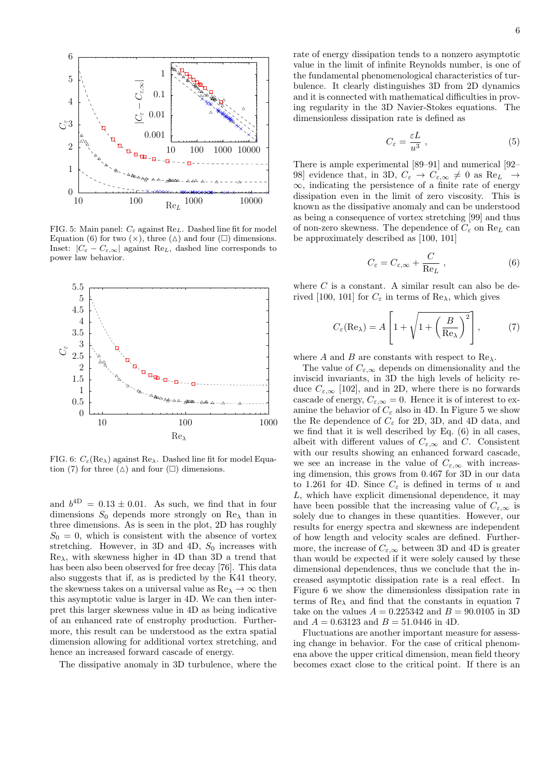

FIG. 5: Main panel:  $C_{\varepsilon}$  against Re<sub>L</sub>. Dashed line fit for model Equation (6) for two  $(\times)$ , three  $(\triangle)$  and four  $(\square)$  dimensions. Inset:  $|C_{\varepsilon} - C_{\varepsilon,\infty}|$  against Re<sub>L</sub>, dashed line corresponds to power law behavior.



FIG. 6:  $C_{\varepsilon}(\text{Re}\lambda)$  against  $\text{Re}\lambda$ . Dashed line fit for model Equation (7) for three ( $\Delta$ ) and four ( $\square$ ) dimensions.

and  $b^{4D} = 0.13 \pm 0.01$ . As such, we find that in four dimensions  $S_0$  depends more strongly on Re<sub>λ</sub> than in three dimensions. As is seen in the plot, 2D has roughly  $S_0 = 0$ , which is consistent with the absence of vortex stretching. However, in 3D and 4D,  $S_0$  increases with  $\text{Re}_{\lambda}$ , with skewness higher in 4D than 3D a trend that has been also been observed for free decay [76]. This data also suggests that if, as is predicted by the K41 theory, the skewness takes on a universal value as  $\text{Re}_{\lambda} \to \infty$  then this asymptotic value is larger in 4D. We can then interpret this larger skewness value in 4D as being indicative of an enhanced rate of enstrophy production. Furthermore, this result can be understood as the extra spatial dimension allowing for additional vortex stretching, and hence an increased forward cascade of energy.

The dissipative anomaly in 3D turbulence, where the

rate of energy dissipation tends to a nonzero asymptotic value in the limit of infinite Reynolds number, is one of the fundamental phenomenological characteristics of turbulence. It clearly distinguishes 3D from 2D dynamics and it is connected with mathematical difficulties in proving regularity in the 3D Navier-Stokes equations. The dimensionless dissipation rate is defined as

$$
C_{\varepsilon} = \frac{\varepsilon L}{u^3} \,, \tag{5}
$$

There is ample experimental [89–91] and numerical [92– 98] evidence that, in 3D,  $C_{\varepsilon} \to C_{\varepsilon,\infty} \neq 0$  as  $\text{Re}_L \to$  $\infty$ , indicating the persistence of a finite rate of energy dissipation even in the limit of zero viscosity. This is known as the dissipative anomaly and can be understood as being a consequence of vortex stretching [99] and thus of non-zero skewness. The dependence of  $C_\varepsilon$  on  $\mathrm{Re}_L$  can be approximately described as [100, 101]

$$
C_{\varepsilon} = C_{\varepsilon,\infty} + \frac{C}{\text{Re}_L} \,, \tag{6}
$$

where  $C$  is a constant. A similar result can also be derived [100, 101] for  $C_{\varepsilon}$  in terms of Re<sub> $\lambda$ </sub>, which gives

$$
C_{\varepsilon}(\text{Re}_{\lambda}) = A \left[ 1 + \sqrt{1 + \left( \frac{B}{\text{Re}_{\lambda}} \right)^2} \right],\tag{7}
$$

where A and B are constants with respect to  $\text{Re}\lambda$ .

The value of  $C_{\varepsilon,\infty}$  depends on dimensionality and the inviscid invariants, in 3D the high levels of helicity reduce  $C_{\varepsilon,\infty}$  [102], and in 2D, where there is no forwards cascade of energy,  $C_{\varepsilon,\infty} = 0$ . Hence it is of interest to examine the behavior of  $C_{\varepsilon}$  also in 4D. In Figure 5 we show the Re dependence of  $C_{\varepsilon}$  for 2D, 3D, and 4D data, and we find that it is well described by Eq. (6) in all cases, albeit with different values of  $C_{\varepsilon,\infty}$  and C. Consistent with our results showing an enhanced forward cascade, we see an increase in the value of  $C_{\varepsilon,\infty}$  with increasing dimension, this grows from 0.467 for 3D in our data to 1.261 for 4D. Since  $C_{\varepsilon}$  is defined in terms of u and L, which have explicit dimensional dependence, it may have been possible that the increasing value of  $C_{\varepsilon,\infty}$  is solely due to changes in these quantities. However, our results for energy spectra and skewness are independent of how length and velocity scales are defined. Furthermore, the increase of  $C_{\varepsilon,\infty}$  between 3D and 4D is greater than would be expected if it were solely caused by these dimensional dependences, thus we conclude that the increased asymptotic dissipation rate is a real effect. In Figure 6 we show the dimensionless dissipation rate in terms of  $\text{Re}_{\lambda}$  and find that the constants in equation 7 take on the values  $A = 0.225342$  and  $B = 90.0105$  in 3D and  $A = 0.63123$  and  $B = 51.0446$  in 4D.

Fluctuations are another important measure for assessing change in behavior. For the case of critical phenomena above the upper critical dimension, mean field theory becomes exact close to the critical point. If there is an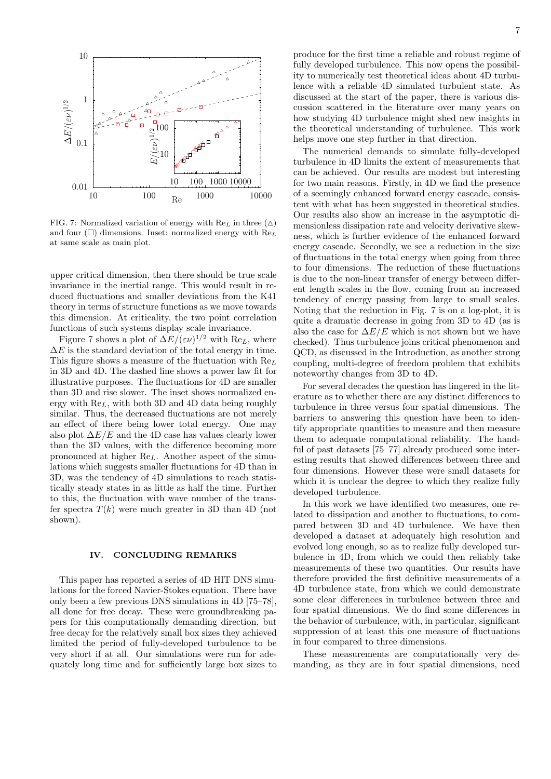

FIG. 7: Normalized variation of energy with  $\text{Re}_L$  in three  $(\triangle)$ and four  $(\Box)$  dimensions. Inset: normalized energy with  $\text{Re}_L$ at same scale as main plot.

upper critical dimension, then there should be true scale invariance in the inertial range. This would result in reduced fluctuations and smaller deviations from the K41 theory in terms of structure functions as we move towards this dimension. At criticality, the two point correlation functions of such systems display scale invariance.

Figure 7 shows a plot of  $\Delta E/(\varepsilon \nu)^{1/2}$  with  $\text{Re}_L$ , where  $\Delta E$  is the standard deviation of the total energy in time. This figure shows a measure of the fluctuation with  $\text{Re } t$ . in 3D and 4D. The dashed line shows a power law fit for illustrative purposes. The fluctuations for 4D are smaller than 3D and rise slower. The inset shows normalized energy with  $\text{Re}_L$ , with both 3D and 4D data being roughly similar. Thus, the decreased fluctuations are not merely an effect of there being lower total energy. One may also plot  $\Delta E/E$  and the 4D case has values clearly lower than the 3D values, with the difference becoming more pronounced at higher  $\text{Re}_L$ . Another aspect of the simulations which suggests smaller fluctuations for 4D than in 3D, was the tendency of 4D simulations to reach statistically steady states in as little as half the time. Further to this, the fluctuation with wave number of the transfer spectra  $T(k)$  were much greater in 3D than 4D (not shown).

#### IV. CONCLUDING REMARKS

This paper has reported a series of 4D HIT DNS simulations for the forced Navier-Stokes equation. There have only been a few previous DNS simulations in 4D [75–78], all done for free decay. These were groundbreaking papers for this computationally demanding direction, but free decay for the relatively small box sizes they achieved limited the period of fully-developed turbulence to be very short if at all. Our simulations were run for adequately long time and for sufficiently large box sizes to

produce for the first time a reliable and robust regime of fully developed turbulence. This now opens the possibility to numerically test theoretical ideas about 4D turbulence with a reliable 4D simulated turbulent state. As discussed at the start of the paper, there is various discussion scattered in the literature over many years on how studying 4D turbulence might shed new insights in the theoretical understanding of turbulence. This work helps move one step further in that direction.

The numerical demands to simulate fully-developed turbulence in 4D limits the extent of measurements that can be achieved. Our results are modest but interesting for two main reasons. Firstly, in 4D we find the presence of a seemingly enhanced forward energy cascade, consistent with what has been suggested in theoretical studies. Our results also show an increase in the asymptotic dimensionless dissipation rate and velocity derivative skewness, which is further evidence of the enhanced forward energy cascade. Secondly, we see a reduction in the size of fluctuations in the total energy when going from three to four dimensions. The reduction of these fluctuations is due to the non-linear transfer of energy between different length scales in the flow, coming from an increased tendency of energy passing from large to small scales. Noting that the reduction in Fig. 7 is on a log-plot, it is quite a dramatic decrease in going from 3D to 4D (as is also the case for  $\Delta E/E$  which is not shown but we have checked). Thus turbulence joins critical phenomenon and QCD, as discussed in the Introduction, as another strong coupling, multi-degree of freedom problem that exhibits noteworthy changes from 3D to 4D.

For several decades the question has lingered in the literature as to whether there are any distinct differences to turbulence in three versus four spatial dimensions. The barriers to answering this question have been to identify appropriate quantities to measure and then measure them to adequate computational reliability. The handful of past datasets [75–77] already produced some interesting results that showed differences between three and four dimensions. However these were small datasets for which it is unclear the degree to which they realize fully developed turbulence.

In this work we have identified two measures, one related to dissipation and another to fluctuations, to compared between 3D and 4D turbulence. We have then developed a dataset at adequately high resolution and evolved long enough, so as to realize fully developed turbulence in 4D, from which we could then reliably take measurements of these two quantities. Our results have therefore provided the first definitive measurements of a 4D turbulence state, from which we could demonstrate some clear differences in turbulence between three and four spatial dimensions. We do find some differences in the behavior of turbulence, with, in particular, significant suppression of at least this one measure of fluctuations in four compared to three dimensions.

These measurements are computationally very demanding, as they are in four spatial dimensions, need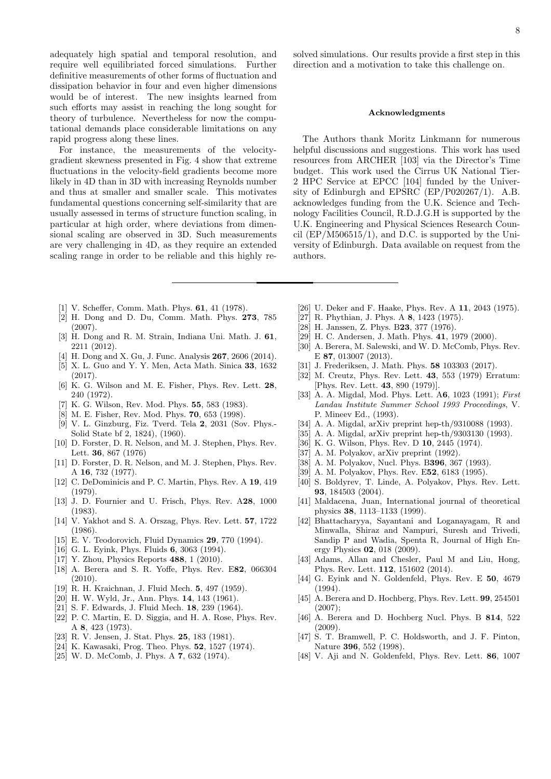adequately high spatial and temporal resolution, and require well equilibriated forced simulations. Further definitive measurements of other forms of fluctuation and dissipation behavior in four and even higher dimensions would be of interest. The new insights learned from such efforts may assist in reaching the long sought for theory of turbulence. Nevertheless for now the computational demands place considerable limitations on any rapid progress along these lines.

For instance, the measurements of the velocitygradient skewness presented in Fig. 4 show that extreme fluctuations in the velocity-field gradients become more likely in 4D than in 3D with increasing Reynolds number and thus at smaller and smaller scale. This motivates fundamental questions concerning self-similarity that are usually assessed in terms of structure function scaling, in particular at high order, where deviations from dimensional scaling are observed in 3D. Such measurements are very challenging in 4D, as they require an extended scaling range in order to be reliable and this highly re-

- [1] V. Scheffer, Comm. Math. Phys. **61**, 41 (1978).
- [2] H. Dong and D. Du, Comm. Math. Phys. 273, 785 (2007).
- [3] H. Dong and R. M. Strain, Indiana Uni. Math. J. 61, 2211 (2012).
- [4] H. Dong and X. Gu, J. Func. Analysis **267**, 2606 (2014).
- [5] X. L. Guo and Y. Y. Men, Acta Math. Sinica 33, 1632 (2017).
- [6] K. G. Wilson and M. E. Fisher, Phys. Rev. Lett. 28, 240 (1972).
- K. G. Wilson, Rev. Mod. Phys. 55, 583 (1983).
- [8] M. E. Fisher, Rev. Mod. Phys. 70, 653 (1998).
- [9] V. L. Ginzburg, Fiz. Tverd. Tela 2, 2031 (Sov. Phys.- Solid State bf 2, 1824), (1960).
- [10] D. Forster, D. R. Nelson, and M. J. Stephen, Phys. Rev. Lett. 36, 867 (1976)
- [11] D. Forster, D. R. Nelson, and M. J. Stephen, Phys. Rev. A 16, 732 (1977).
- [12] C. DeDominicis and P. C. Martin, Phys. Rev. A 19, 419 (1979).
- [13] J. D. Fournier and U. Frisch, Phys. Rev. A28, 1000 (1983).
- [14] V. Yakhot and S. A. Orszag, Phys. Rev. Lett. 57, 1722 (1986).
- [15] E. V. Teodorovich, Fluid Dynamics 29, 770 (1994).
- [16] G. L. Eyink, Phys. Fluids 6, 3063 (1994).
- [17] Y. Zhou, Physics Reports **488**, 1 (2010).
- [18] A. Berera and S. R. Yoffe, Phys. Rev. E82, 066304  $(2010)$ .
- [19] R. H. Kraichnan, J. Fluid Mech. 5, 497 (1959).
- [20] H. W. Wyld, Jr., Ann. Phys. 14, 143 (1961).
- [21] S. F. Edwards, J. Fluid Mech. 18, 239 (1964).
- [22] P. C. Martin, E. D. Siggia, and H. A. Rose, Phys. Rev. A 8, 423 (1973).
- [23] R. V. Jensen, J. Stat. Phys. 25, 183 (1981).
- [24] K. Kawasaki, Prog. Theo. Phys. 52, 1527 (1974).
- [25] W. D. McComb, J. Phys. A **7**, 632 (1974).

solved simulations. Our results provide a first step in this direction and a motivation to take this challenge on.

#### Acknowledgments

The Authors thank Moritz Linkmann for numerous helpful discussions and suggestions. This work has used resources from ARCHER [103] via the Director's Time budget. This work used the Cirrus UK National Tier-2 HPC Service at EPCC [104] funded by the University of Edinburgh and EPSRC (EP/P020267/1). A.B. acknowledges funding from the U.K. Science and Technology Facilities Council, R.D.J.G.H is supported by the U.K. Engineering and Physical Sciences Research Council  $(EP/M506515/1)$ , and D.C. is supported by the University of Edinburgh. Data available on request from the authors.

- [26] U. Deker and F. Haake, Phys. Rev. A 11, 2043 (1975).
- [27] R. Phythian, J. Phys. A 8, 1423 (1975).
- [28] H. Janssen, Z. Phys. B23, 377 (1976).
- [29] H. C. Andersen, J. Math. Phys. 41, 1979 (2000).
- [30] A. Berera, M. Salewski, and W. D. McComb, Phys. Rev. E 87, 013007 (2013).
- [31] J. Frederiksen, J. Math. Phys. **58** 103303 (2017).
- [32] M. Creutz, Phys. Rev. Lett. 43, 553 (1979) Erratum: [Phys. Rev. Lett. 43, 890 (1979)].
- [33] A. A. Migdal, Mod. Phys. Lett. A6, 1023 (1991); First Landau Institute Summer School 1993 Proceedings, V. P. Mineev Ed., (1993).
- [34] A. A. Migdal, arXiv preprint hep-th/9310088 (1993).
- [35] A. A. Migdal, arXiv preprint hep-th/9303130 (1993).
- [36] K. G. Wilson, Phys. Rev. D **10**, 2445 (1974).
- [37] A. M. Polyakov, arXiv preprint (1992).
- [38] A. M. Polyakov, Nucl. Phys. B396, 367 (1993).
- [39] A. M. Polyakov, Phys. Rev. E52, 6183 (1995).
- [40] S. Boldyrev, T. Linde, A. Polyakov, Phys. Rev. Lett. 93, 184503 (2004).
- [41] Maldacena, Juan, International journal of theoretical physics 38, 1113–1133 (1999).
- [42] Bhattacharyya, Sayantani and Loganayagam, R and Minwalla, Shiraz and Nampuri, Suresh and Trivedi, Sandip P and Wadia, Spenta R, Journal of High Energy Physics 02, 018 (2009).
- [43] Adams, Allan and Chesler, Paul M and Liu, Hong, Phys. Rev. Lett. 112, 151602 (2014).
- [44] G. Eyink and N. Goldenfeld, Phys. Rev. E 50, 4679 (1994).
- [45] A. Berera and D. Hochberg, Phys. Rev. Lett. **99**, 254501  $(2007)$ :
- [46] A. Berera and D. Hochberg Nucl. Phys. B 814, 522  $(2009)$ .
- [47] S. T. Bramwell, P. C. Holdsworth, and J. F. Pinton, Nature 396, 552 (1998).
- [48] V. Aji and N. Goldenfeld, Phys. Rev. Lett. 86, 1007